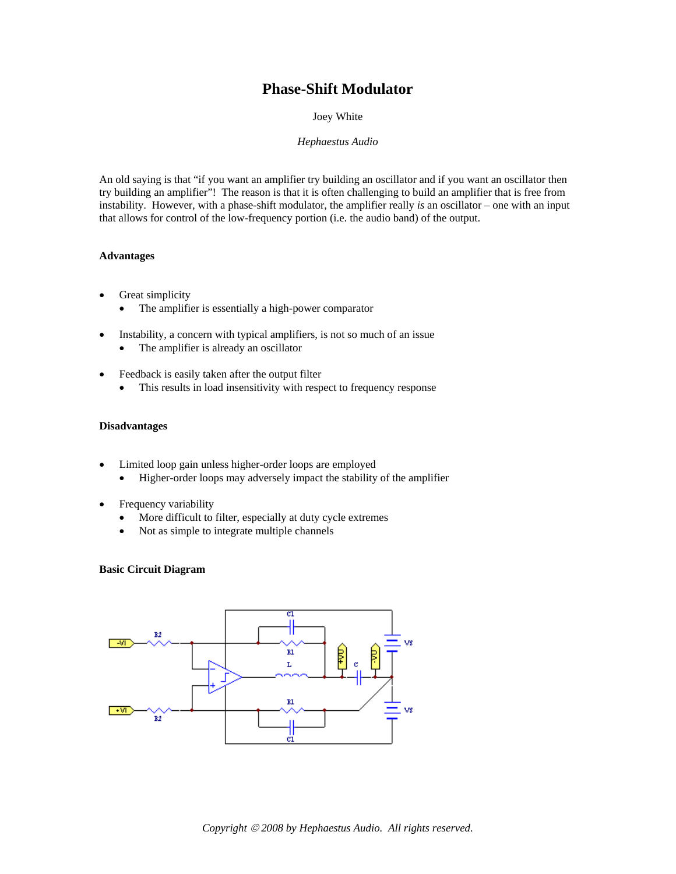# **Phase-Shift Modulator**

Joey White

## *Hephaestus Audio*

An old saying is that "if you want an amplifier try building an oscillator and if you want an oscillator then try building an amplifier"! The reason is that it is often challenging to build an amplifier that is free from instability. However, with a phase-shift modulator, the amplifier really *is* an oscillator – one with an input that allows for control of the low-frequency portion (i.e. the audio band) of the output.

## **Advantages**

- Great simplicity
	- The amplifier is essentially a high-power comparator
- Instability, a concern with typical amplifiers, is not so much of an issue
	- The amplifier is already an oscillator
- Feedback is easily taken after the output filter
	- This results in load insensitivity with respect to frequency response

## **Disadvantages**

- Limited loop gain unless higher-order loops are employed
	- Higher-order loops may adversely impact the stability of the amplifier
- Frequency variability
	- More difficult to filter, especially at duty cycle extremes
	- Not as simple to integrate multiple channels

#### **Basic Circuit Diagram**

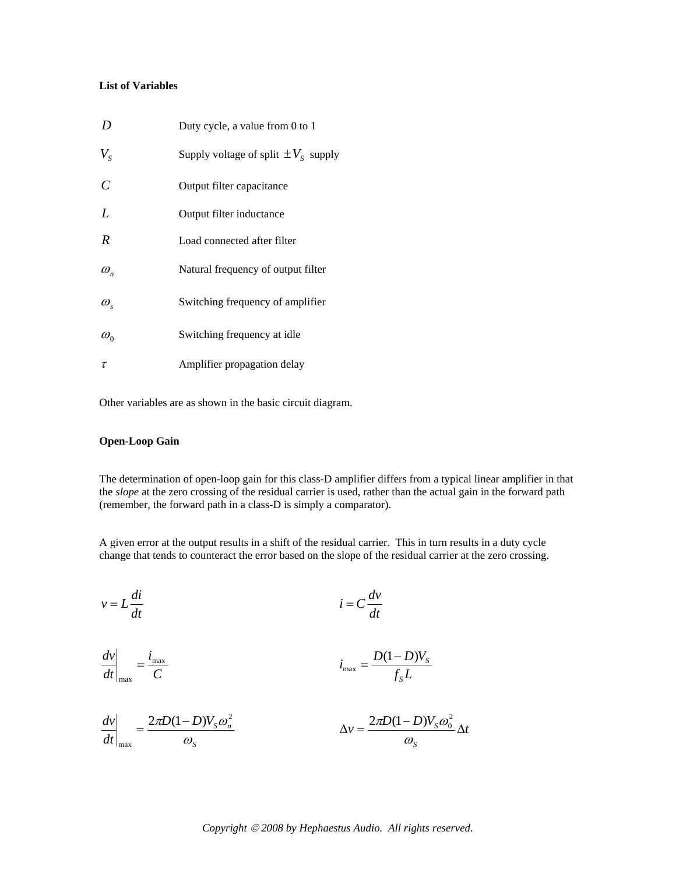# **List of Variables**

| D                | Duty cycle, a value from 0 to 1          |
|------------------|------------------------------------------|
| $V_{\rm s}$      | Supply voltage of split $\pm V_s$ supply |
| $\mathcal{C}$    | Output filter capacitance                |
| L                | Output filter inductance                 |
| R                | Load connected after filter              |
| $\omega_n$       | Natural frequency of output filter       |
| $\omega_{\rm s}$ | Switching frequency of amplifier         |
| $\omega_{0}$     | Switching frequency at idle              |
| $\tau$           | Amplifier propagation delay              |

Other variables are as shown in the basic circuit diagram.

# **Open-Loop Gain**

The determination of open-loop gain for this class-D amplifier differs from a typical linear amplifier in that the *slope* at the zero crossing of the residual carrier is used, rather than the actual gain in the forward path (remember, the forward path in a class-D is simply a comparator).

A given error at the output results in a shift of the residual carrier. This in turn results in a duty cycle change that tends to counteract the error based on the slope of the residual carrier at the zero crossing.

$$
v = L\frac{di}{dt}
$$
  $i = C\frac{dv}{dt}$ 

$$
\left. \frac{dv}{dt} \right|_{\text{max}} = \frac{i_{\text{max}}}{C} \qquad i_{\text{max}} = \frac{D(1-D)V_s}{f_s L}
$$

$$
\frac{dv}{dt}\bigg|_{\text{max}} = \frac{2\pi D(1-D)V_s\omega_n^2}{\omega_s} \qquad \Delta v = \frac{2\pi D(1-D)V_s\omega_0^2}{\omega_s} \Delta t
$$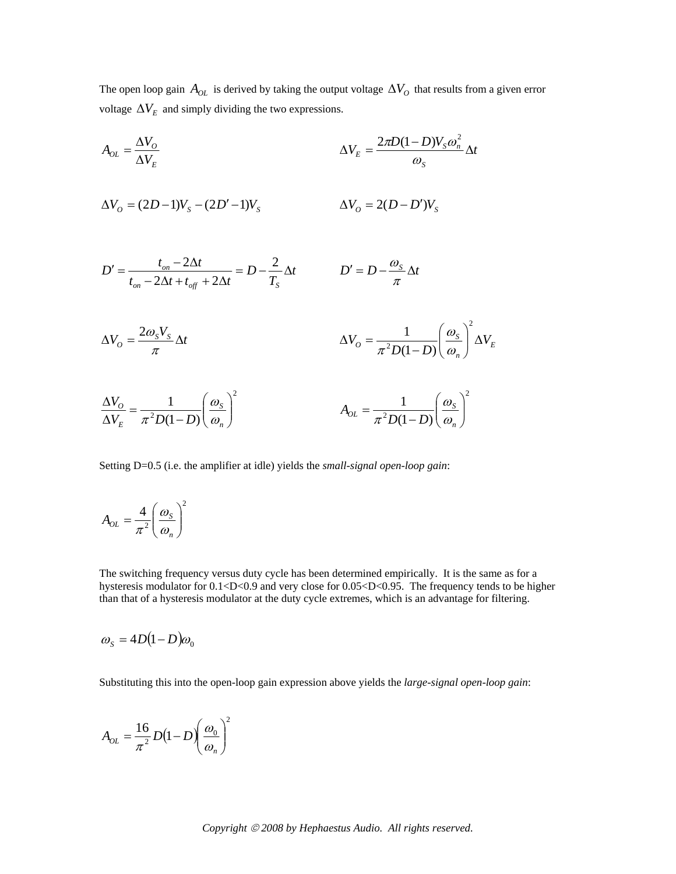The open loop gain  $A_{OL}$  is derived by taking the output voltage  $\Delta V_O$  that results from a given error voltage  $\Delta V_E$  and simply dividing the two expressions.

$$
A_{OL} = \frac{\Delta V_O}{\Delta V_E}
$$
\n
$$
\Delta V_O = (2D-1)V_S - (2D'-1)V_S
$$
\n
$$
\Delta V_O = 2(D-D')V_S
$$
\n
$$
D' = \frac{t_{on} - 2\Delta t}{t_{on} - 2\Delta t + t_{off} + 2\Delta t} = D - \frac{2}{T_S} \Delta t
$$
\n
$$
\Delta V_O = 2(D-D')V_S
$$
\n
$$
\Delta V_O = \frac{2\omega_S V_S}{\pi} \Delta t
$$
\n
$$
\Delta V_O = \frac{2\omega_S V_S}{\pi} \Delta t
$$
\n
$$
\Delta V_O = \frac{1}{\pi^2 D(1-D)} \left(\frac{\omega_S}{\omega_n}\right)^2 \Delta V_E
$$
\n
$$
\frac{\Delta V_O}{\Delta V_E} = \frac{1}{\pi^2 D(1-D)} \left(\frac{\omega_S}{\omega_n}\right)^2
$$
\n
$$
A_{OL} = \frac{1}{\pi^2 D(1-D)} \left(\frac{\omega_S}{\omega_n}\right)^2
$$

Setting D=0.5 (i.e. the amplifier at idle) yields the *small-signal open-loop gain*:

$$
A_{OL} = \frac{4}{\pi^2} \left(\frac{\omega_s}{\omega_n}\right)^2
$$

The switching frequency versus duty cycle has been determined empirically. It is the same as for a hysteresis modulator for 0.1<D<0.9 and very close for 0.05<D<0.95. The frequency tends to be higher than that of a hysteresis modulator at the duty cycle extremes, which is an advantage for filtering.

$$
\omega_{\rm s} = 4D(1-D)\omega_{\rm o}
$$

Substituting this into the open-loop gain expression above yields the *large-signal open-loop gain*:

$$
A_{OL} = \frac{16}{\pi^2} D(1 - D) \left(\frac{\omega_0}{\omega_n}\right)^2
$$